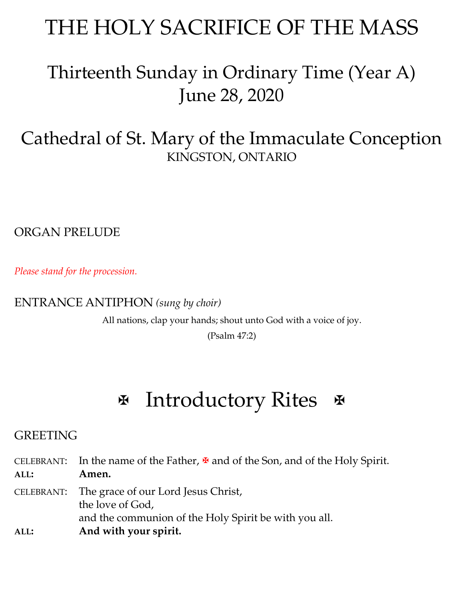## THE HOLY SACRIFICE OF THE MASS

## Thirteenth Sunday in Ordinary Time (Year A) June 28, 2020

## Cathedral of St. Mary of the Immaculate Conception KINGSTON, ONTARIO

ORGAN PRELUDE

*Please stand for the procession.*

### ENTRANCE ANTIPHON *(sung by choir)*

All nations, clap your hands; shout unto God with a voice of joy.

(Psalm 47:2)

# $\mathbb F$  Introductory Rites  $\mathbb F$

## **GREETING**

CELEBRANT: In the name of the Father,  $\mathbf{\Psi}$  and of the Son, and of the Holy Spirit. **ALL: Amen.** CELEBRANT: The grace of our Lord Jesus Christ, the love of God, and the communion of the Holy Spirit be with you all.

**ALL: And with your spirit.**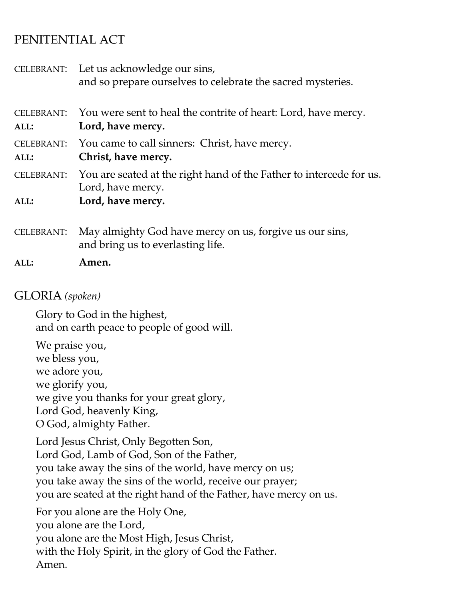## PENITENTIAL ACT

|                           | CELEBRANT: Let us acknowledge our sins,<br>and so prepare ourselves to celebrate the sacred mysteries. |
|---------------------------|--------------------------------------------------------------------------------------------------------|
| <b>CELEBRANT:</b><br>ALL: | You were sent to heal the contrite of heart: Lord, have mercy.<br>Lord, have mercy.                    |
| <b>CELEBRANT:</b><br>ALL: | You came to call sinners: Christ, have mercy.<br>Christ, have mercy.                                   |
| <b>CELEBRANT:</b>         | You are seated at the right hand of the Father to intercede for us.<br>Lord, have mercy.               |
| ALL:                      | Lord, have mercy.                                                                                      |
| <b>CELEBRANT:</b>         | May almighty God have mercy on us, forgive us our sins,<br>and bring us to everlasting life.           |
| ALL:                      | Amen.                                                                                                  |

### GLORIA *(spoken)*

Glory to God in the highest, and on earth peace to people of good will.

We praise you, we bless you, we adore you, we glorify you, we give you thanks for your great glory, Lord God, heavenly King, O God, almighty Father.

Lord Jesus Christ, Only Begotten Son, Lord God, Lamb of God, Son of the Father, you take away the sins of the world, have mercy on us; you take away the sins of the world, receive our prayer; you are seated at the right hand of the Father, have mercy on us.

For you alone are the Holy One, you alone are the Lord, you alone are the Most High, Jesus Christ, with the Holy Spirit, in the glory of God the Father. Amen.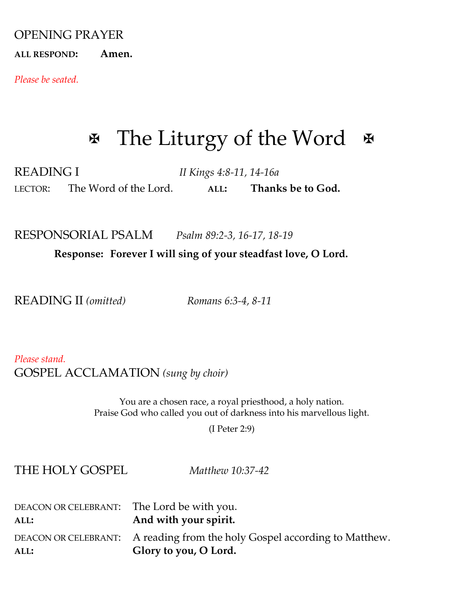#### OPENING PRAYER

**ALL RESPOND: Amen.**

*Please be seated.*

## $\mathbb F$  The Liturgy of the Word  $\mathbb F$

READING I *II Kings 4:8-11, 14-16a* LECTOR: The Word of the Lord. **ALL: Thanks be to God.**

RESPONSORIAL PSALM*Psalm 89:2-3, 16-17, 18-19*

 **Response: Forever I will sing of your steadfast love, O Lord.**

READING II *(omitted) Romans 6:3-4, 8-11*

*Please stand.* GOSPEL ACCLAMATION *(sung by choir)*

> You are a chosen race, a royal priesthood, a holy nation. Praise God who called you out of darkness into his marvellous light.

> > (I Peter 2:9)

THE HOLY GOSPEL *Matthew 10:37-42*

| DEACON OR CELEBRANT: The Lord be with you.<br>ALL: | And with your spirit.                                                                              |
|----------------------------------------------------|----------------------------------------------------------------------------------------------------|
| ALL:                                               | DEACON OR CELEBRANT: A reading from the holy Gospel according to Matthew.<br>Glory to you, O Lord. |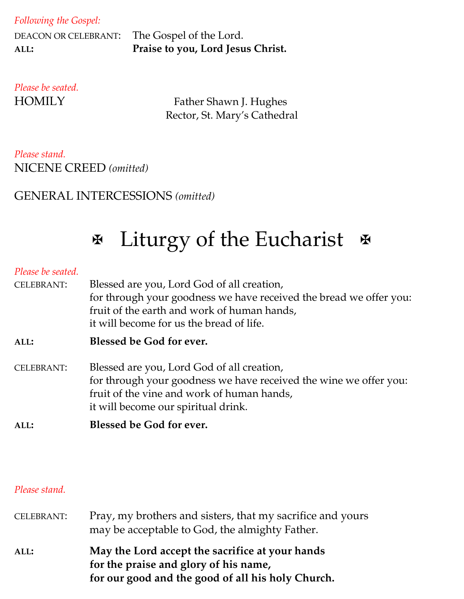| Following the Gospel: |  |  |
|-----------------------|--|--|
|-----------------------|--|--|

| DEACON OR CELEBRANT: |  |
|----------------------|--|
| ALL:                 |  |

The Gospel of the Lord. **ALL: Praise to you, Lord Jesus Christ.**

*Please be seated.*

HOMILY Father Shawn J. Hughes Rector, St. Mary's Cathedral

### *Please stand.* NICENE CREED *(omitted)*

### GENERAL INTERCESSIONS *(omitted)*

## **Ex** Liturgy of the Eucharist &

#### *Please be seated.*

| <b>CELEBRANT:</b> | Blessed are you, Lord God of all creation,<br>for through your goodness we have received the bread we offer you:<br>fruit of the earth and work of human hands,<br>it will become for us the bread of life. |  |
|-------------------|-------------------------------------------------------------------------------------------------------------------------------------------------------------------------------------------------------------|--|
| ALL:              | Blessed be God for ever.                                                                                                                                                                                    |  |
| <b>CELEBRANT:</b> | Blessed are you, Lord God of all creation,<br>for through your goodness we have received the wine we offer you:<br>fruit of the vine and work of human hands,<br>it will become our spiritual drink.        |  |

**ALL: Blessed be God for ever.**

#### *Please stand.*

| <b>CELEBRANT:</b> | Pray, my brothers and sisters, that my sacrifice and yours<br>may be acceptable to God, the almighty Father.                                  |  |
|-------------------|-----------------------------------------------------------------------------------------------------------------------------------------------|--|
| ALL:              | May the Lord accept the sacrifice at your hands<br>for the praise and glory of his name,<br>for our good and the good of all his holy Church. |  |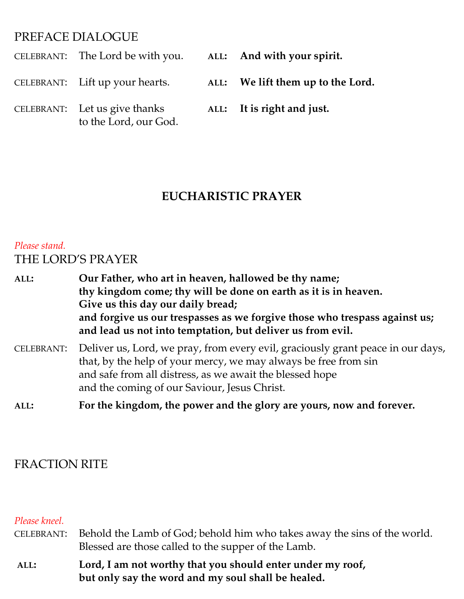### PREFACE DIALOGUE

| CELEBRANT: The Lord be with you.                       | ALL: And with your spirit.        |
|--------------------------------------------------------|-----------------------------------|
| CELEBRANT: Lift up your hearts.                        | ALL: We lift them up to the Lord. |
| CELEBRANT: Let us give thanks<br>to the Lord, our God. | ALL: It is right and just.        |

## **EUCHARISTIC PRAYER**

## *Please stand.* THE LORD'S PRAYER

**ALL: Our Father, who art in heaven, hallowed be thy name; thy kingdom come; thy will be done on earth as it is in heaven. Give us this day our daily bread; and forgive us our trespasses as we forgive those who trespass against us; and lead us not into temptation, but deliver us from evil.**  CELEBRANT: Deliver us, Lord, we pray, from every evil, graciously grant peace in our days, that, by the help of your mercy, we may always be free from sin

- and safe from all distress, as we await the blessed hope and the coming of our Saviour, Jesus Christ.
- **ALL: For the kingdom, the power and the glory are yours, now and forever.**

## FRACTION RITE

#### *Please kneel.*

- CELEBRANT: Behold the Lamb of God; behold him who takes away the sins of the world. Blessed are those called to the supper of the Lamb.
- **ALL: Lord, I am not worthy that you should enter under my roof, but only say the word and my soul shall be healed.**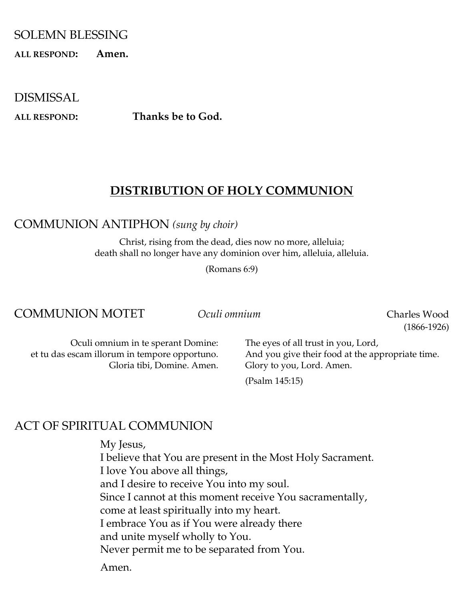#### SOLEMN BLESSING

**ALL RESPOND: Amen.**

DISMISSAL

**ALL RESPOND: Thanks be to God.**

### **DISTRIBUTION OF HOLY COMMUNION**

COMMUNION ANTIPHON *(sung by choir)*

Christ, rising from the dead, dies now no more, alleluia; death shall no longer have any dominion over him, alleluia, alleluia.

(Romans 6:9)

#### COMMUNION MOTET *Oculi omnium* Charles Wood

(1866-1926)

Oculi omnium in te sperant Domine: et tu das escam illorum in tempore opportuno. Gloria tibi, Domine. Amen. The eyes of all trust in you, Lord, And you give their food at the appropriate time. Glory to you, Lord. Amen.

(Psalm 145:15)

#### ACT OF SPIRITUAL COMMUNION

My Jesus, I believe that You are present in the Most Holy Sacrament. I love You above all things, and I desire to receive You into my soul. Since I cannot at this moment receive You sacramentally, come at least spiritually into my heart. I embrace You as if You were already there and unite myself wholly to You. Never permit me to be separated from You.

Amen.